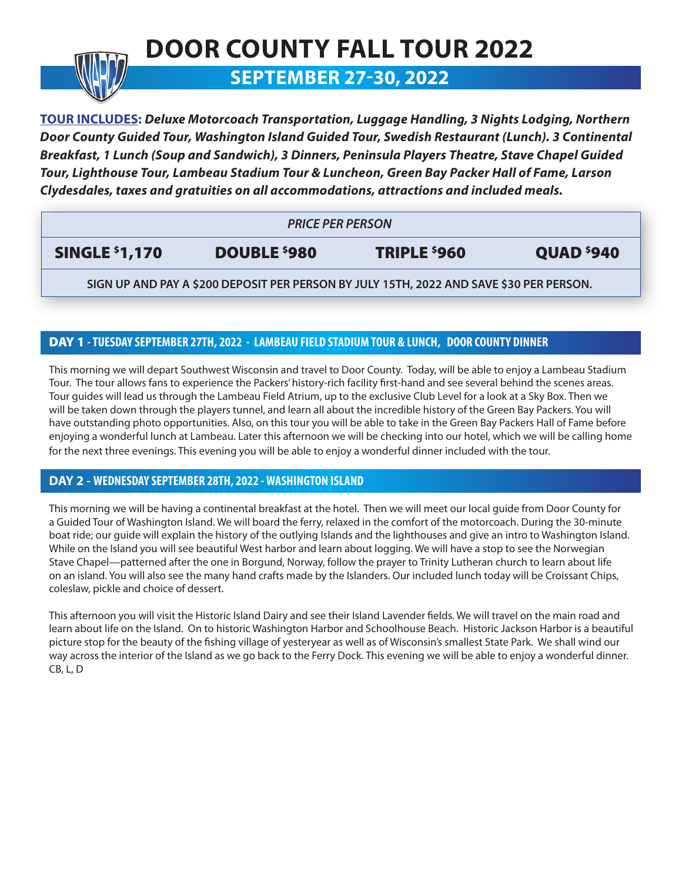# **DOOR COUNTY FALL TOUR 2022 SEPTEMBER 27-30, 2022**

**TOUR INCLUDES:** *Deluxe Motorcoach Transportation, Luggage Handling, 3 Nights Lodging, Northern Door County Guided Tour, Washington Island Guided Tour, Swedish Restaurant (Lunch). 3 Continental Breakfast, 1 Lunch (Soup and Sandwich), 3 Dinners, Peninsula Players Theatre, Stave Chapel Guided Tour, Lighthouse Tour, Lambeau Stadium Tour & Luncheon, Green Bay Packer Hall of Fame, Larson Clydesdales, taxes and gratuities on all accommodations, attractions and included meals.*

| <b>PRICE PER PERSON</b>                                                                 |              |              |                        |
|-----------------------------------------------------------------------------------------|--------------|--------------|------------------------|
| <b>SINGLE \$1,170</b>                                                                   | DOUBLE \$980 | TRIPLE \$960 | QUAD <sup>\$</sup> 940 |
| SIGN UP AND PAY A \$200 DEPOSIT PER PERSON BY JULY 15TH, 2022 AND SAVE \$30 PER PERSON. |              |              |                        |

## DAY 1 **- TUESDAY SEPTEMBER 27TH, 2022 - LAMBEAU FIELD STADIUM TOUR & LUNCH, DOOR COUNTY DINNER**

This morning we will depart Southwest Wisconsin and travel to Door County. Today, will be able to enjoy a Lambeau Stadium Tour. The tour allows fans to experience the Packers' history-rich facility first-hand and see several behind the scenes areas. Tour guides will lead us through the Lambeau Field Atrium, up to the exclusive Club Level for a look at a Sky Box. Then we will be taken down through the players tunnel, and learn all about the incredible history of the Green Bay Packers. You will have outstanding photo opportunities. Also, on this tour you will be able to take in the Green Bay Packers Hall of Fame before enjoying a wonderful lunch at Lambeau. Later this afternoon we will be checking into our hotel, which we will be calling home for the next three evenings. This evening you will be able to enjoy a wonderful dinner included with the tour.

### **DAY 2 - WEDNESDAY SEPTEMBER 28TH, 2022 - WASHINGTON ISLAND**

This morning we will be having a continental breakfast at the hotel. Then we will meet our local guide from Door County for a Guided Tour of Washington Island. We will board the ferry, relaxed in the comfort of the motorcoach. During the 30-minute boat ride; our guide will explain the history of the outlying Islands and the lighthouses and give an intro to Washington Island. While on the Island you will see beautiful West harbor and learn about logging. We will have a stop to see the Norwegian Stave Chapel—patterned after the one in Borgund, Norway, follow the prayer to Trinity Lutheran church to learn about life on an island. You will also see the many hand crafts made by the Islanders. Our included lunch today will be Croissant Chips, coleslaw, pickle and choice of dessert.

This afternoon you will visit the Historic Island Dairy and see their Island Lavender fields. We will travel on the main road and learn about life on the Island. On to historic Washington Harbor and Schoolhouse Beach. Historic Jackson Harbor is a beautiful picture stop for the beauty of the fishing village of yesteryear as well as of Wisconsin's smallest State Park. We shall wind our way across the interior of the Island as we go back to the Ferry Dock. This evening we will be able to enjoy a wonderful dinner. CB, L, D